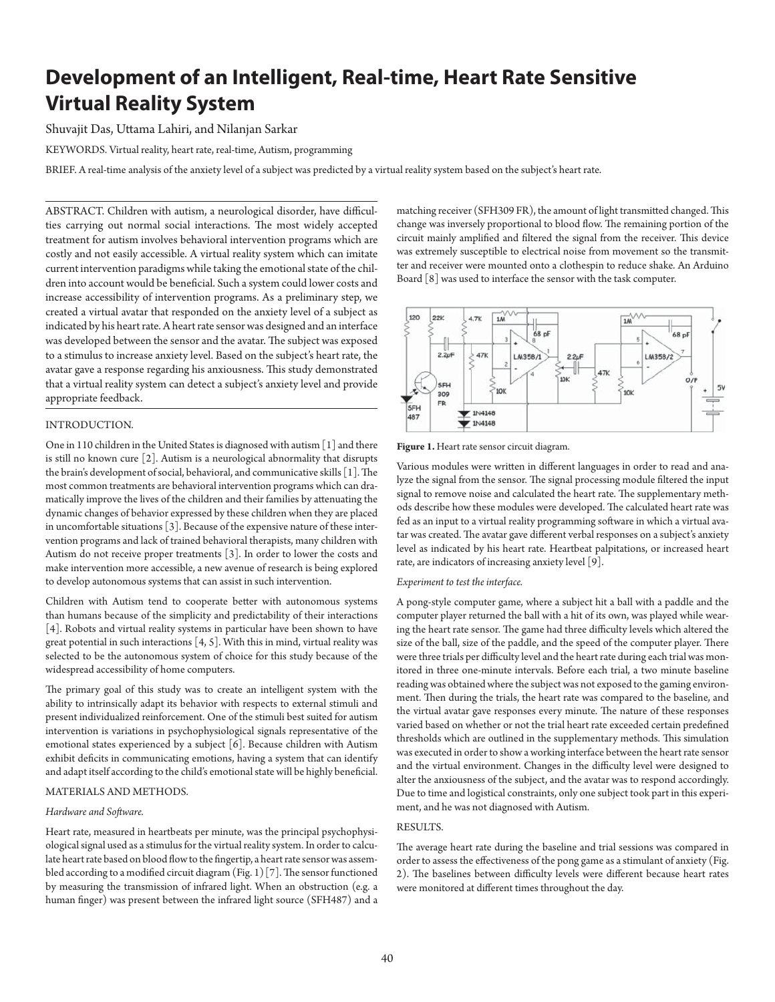# **Development of an Intelligent, Real-time, Heart Rate Sensitive Virtual Reality System**

Shuvajit Das, Uttama Lahiri, and Nilanjan Sarkar

KEYWORDS. Virtual reality, heart rate, real-time, Autism, programming

BRIEF . A real-time analysis of the anxiety level of a subject was predicted by a virtual reality system based on the subject's heart rate.

ABSTRACT. Children with autism, a neurological disorder, have difficulties carrying out normal social interactions. The most widely accepted treatment for autism involves behavioral intervention programs which are costly and not easily accessible. A virtual reality system which can imitate current intervention paradigms while taking the emotional state of the children into account would be beneficial. Such a system could lower costs and increase accessibility of intervention programs. As a preliminary step, we created a virtual avatar that responded on the anxiety level of a subject as indicated by his heart rate. A heart rate sensor was designed and an interface was developed between the sensor and the avatar. The subject was exposed to a stimulus to increase anxiety level. Based on the subject's heart rate, the avatar gave a response regarding his anxiousness. This study demonstrated that a virtual reality system can detect a subject's anxiety level and provide appropriate feedback.

# INTRODUCTION.

One in 110 children in the United States is diagnosed with autism [1] and there is still no known cure [2]. Autism is a neurological abnormality that disrupts the brain's development of social, behavioral, and communicative skills [1]. The most common treatments are behavioral intervention programs which can dramatically improve the lives of the children and their families by attenuating the dynamic changes of behavior expressed by these children when they are placed in uncomfortable situations [3]. Because of the expensive nature of these intervention programs and lack of trained behavioral therapists, many children with Autism do not receive proper treatments [3]. In order to lower the costs and make intervention more accessible, a new avenue of research is being explored to develop autonomous systems that can assist in such intervention.

Children with Autism tend to cooperate better with autonomous systems than humans because of the simplicity and predictability of their interactions [4]. Robots and virtual reality systems in particular have been shown to have great potential in such interactions [4, 5]. With this in mind, virtual reality was selected to be the autonomous system of choice for this study because of the widespread accessibility of home computers.

The primary goal of this study was to create an intelligent system with the ability to intrinsically adapt its behavior with respects to external stimuli and present individualized reinforcement. One of the stimuli best suited for autism intervention is variations in psychophysiological signals representative of the emotional states experienced by a subject [6]. Because children with Autism exhibit deficits in communicating emotions, having a system that can identify and adapt itself according to the child's emotional state will be highly beneficial.

### MATERIALS AND METHODS.

#### *Hardware and Soft ware.*

Heart rate, measured in heartbeats per minute, was the principal psychophysiological signal used as a stimulus for the virtual reality system. In order to calculate heart rate based on blood flow to the fingertip, a heart rate sensor was assembled according to a modified circuit diagram (Fig. 1) [7]. The sensor functioned by measuring the transmission of infrared light. When an obstruction (e.g. a human finger) was present between the infrared light source (SFH487) and a matching receiver (SFH309 FR), the amount of light transmitted changed. This change was inversely proportional to blood flow. The remaining portion of the circuit mainly amplified and filtered the signal from the receiver. This device was extremely susceptible to electrical noise from movement so the transmitter and receiver were mounted onto a clothespin to reduce shake. An Arduino Board [8] was used to interface the sensor with the task computer.



**Figure 1.** Heart rate sensor circuit diagram.

Various modules were written in different languages in order to read and analyze the signal from the sensor. The signal processing module filtered the input signal to remove noise and calculated the heart rate. The supplementary methods describe how these modules were developed. The calculated heart rate was fed as an input to a virtual reality programming software in which a virtual avatar was created. The avatar gave different verbal responses on a subject's anxiety level as indicated by his heart rate. Heartbeat palpitations, or increased heart rate, are indicators of increasing anxiety level [9].

#### *Experiment to test the interface.*

A pong-style computer game, where a subject hit a ball with a paddle and the computer player returned the ball with a hit of its own, was played while wearing the heart rate sensor. The game had three difficulty levels which altered the size of the ball, size of the paddle, and the speed of the computer player. There were three trials per difficulty level and the heart rate during each trial was monitored in three one-minute intervals. Before each trial, a two minute baseline reading was obtained where the subject was not exposed to the gaming environment. Then during the trials, the heart rate was compared to the baseline, and the virtual avatar gave responses every minute. The nature of these responses varied based on whether or not the trial heart rate exceeded certain predefined thresholds which are outlined in the supplementary methods. This simulation was executed in order to show a working interface between the heart rate sensor and the virtual environment. Changes in the difficulty level were designed to alter the anxiousness of the subject, and the avatar was to respond accordingly. Due to time and logistical constraints, only one subject took part in this experiment, and he was not diagnosed with Autism.

#### RESULTS.

The average heart rate during the baseline and trial sessions was compared in order to assess the effectiveness of the pong game as a stimulant of anxiety (Fig. 2). The baselines between difficulty levels were different because heart rates were monitored at different times throughout the day.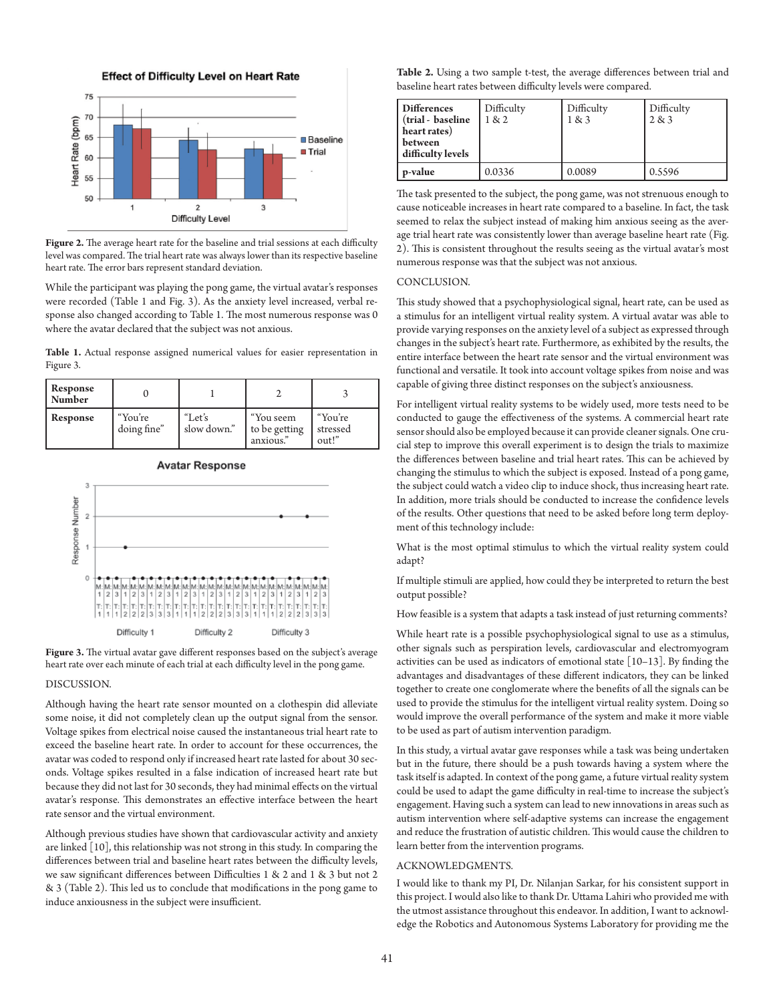



Figure 2. The average heart rate for the baseline and trial sessions at each difficulty level was compared. The trial heart rate was always lower than its respective baseline heart rate. The error bars represent standard deviation.

While the participant was playing the pong game, the virtual avatar's responses were recorded (Table 1 and Fig. 3). As the anxiety level increased, verbal response also changed according to Table 1. The most numerous response was 0 where the avatar declared that the subject was not anxious.

**Table 1.** Actual response assigned numerical values for easier representation in Figure 3.

| Response<br>Number |                        |                       |                                        |                              |
|--------------------|------------------------|-----------------------|----------------------------------------|------------------------------|
| Response           | "You're<br>doing fine" | "Let's<br>slow down." | "You seem<br>to be getting<br>anxious. | "You're<br>stressed<br>out!" |





Figure 3. The virtual avatar gave different responses based on the subject's average heart rate over each minute of each trial at each difficulty level in the pong game.

#### DISCUSSION.

Although having the heart rate sensor mounted on a clothespin did alleviate some noise, it did not completely clean up the output signal from the sensor. Voltage spikes from electrical noise caused the instantaneous trial heart rate to exceed the baseline heart rate. In order to account for these occurrences, the avatar was coded to respond only if increased heart rate lasted for about 30 seconds. Voltage spikes resulted in a false indication of increased heart rate but because they did not last for 30 seconds, they had minimal effects on the virtual avatar's response. This demonstrates an effective interface between the heart rate sensor and the virtual environment.

Although previous studies have shown that cardiovascular activity and anxiety are linked [10], this relationship was not strong in this study. In comparing the differences between trial and baseline heart rates between the difficulty levels, we saw significant differences between Difficulties 1 & 2 and 1 & 3 but not 2  $& 3$  (Table 2). This led us to conclude that modifications in the pong game to induce anxiousness in the subject were insufficient.

Table 2. Using a two sample t-test, the average differences between trial and baseline heart rates between difficulty levels were compared.

| <b>Differences</b><br>(trial - baseline<br>heart rates)<br>between<br>difficulty levels | Difficulty<br>1 & 2 | Difficulty<br>1 & 3 | Difficulty<br>2 & 3 |
|-----------------------------------------------------------------------------------------|---------------------|---------------------|---------------------|
| p-value                                                                                 | 0.0336              | 0.0089              | 0.5596              |

The task presented to the subject, the pong game, was not strenuous enough to cause noticeable increases in heart rate compared to a baseline. In fact, the task seemed to relax the subject instead of making him anxious seeing as the average trial heart rate was consistently lower than average baseline heart rate (Fig. 2). This is consistent throughout the results seeing as the virtual avatar's most numerous response was that the subject was not anxious.

#### CONCLUSION.

This study showed that a psychophysiological signal, heart rate, can be used as a stimulus for an intelligent virtual reality system. A virtual avatar was able to provide varying responses on the anxiety level of a subject as expressed through changes in the subject's heart rate. Furthermore, as exhibited by the results, the entire interface between the heart rate sensor and the virtual environment was functional and versatile. It took into account voltage spikes from noise and was capable of giving three distinct responses on the subject's anxiousness.

For intelligent virtual reality systems to be widely used, more tests need to be conducted to gauge the effectiveness of the systems. A commercial heart rate sensor should also be employed because it can provide cleaner signals. One crucial step to improve this overall experiment is to design the trials to maximize the differences between baseline and trial heart rates. This can be achieved by changing the stimulus to which the subject is exposed. Instead of a pong game, the subject could watch a video clip to induce shock, thus increasing heart rate. In addition, more trials should be conducted to increase the confidence levels of the results. Other questions that need to be asked before long term deployment of this technology include:

What is the most optimal stimulus to which the virtual reality system could adapt?

If multiple stimuli are applied, how could they be interpreted to return the best output possible?

How feasible is a system that adapts a task instead of just returning comments?

While heart rate is a possible psychophysiological signal to use as a stimulus, other signals such as perspiration levels, cardiovascular and electromyogram activities can be used as indicators of emotional state  $[10-13]$ . By finding the advantages and disadvantages of these different indicators, they can be linked together to create one conglomerate where the benefits of all the signals can be used to provide the stimulus for the intelligent virtual reality system. Doing so would improve the overall performance of the system and make it more viable to be used as part of autism intervention paradigm.

In this study, a virtual avatar gave responses while a task was being undertaken but in the future, there should be a push towards having a system where the task itself is adapted. In context of the pong game, a future virtual reality system could be used to adapt the game difficulty in real-time to increase the subject's engagement. Having such a system can lead to new innovations in areas such as autism intervention where self-adaptive systems can increase the engagement and reduce the frustration of autistic children. This would cause the children to learn better from the intervention programs.

### ACKNOWLEDGMENTS.

I would like to thank my PI, Dr. Nilanjan Sarkar, for his consistent support in this project. I would also like to thank Dr. Uttama Lahiri who provided me with the utmost assistance throughout this endeavor. In addition, I want to acknowledge the Robotics and Autonomous Systems Laboratory for providing me the